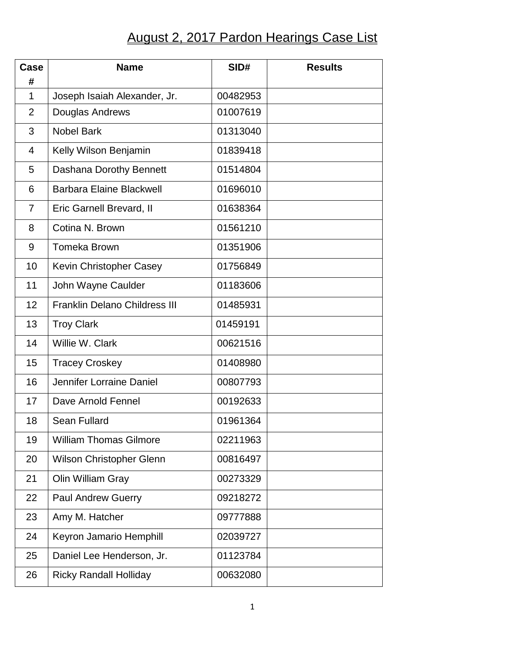## August 2, 2017 Pardon Hearings Case List

| Case<br>#      | <b>Name</b>                          | SID#     | <b>Results</b> |
|----------------|--------------------------------------|----------|----------------|
| $\mathbf{1}$   | Joseph Isaiah Alexander, Jr.         | 00482953 |                |
| $\overline{2}$ | Douglas Andrews                      | 01007619 |                |
| 3              | <b>Nobel Bark</b>                    | 01313040 |                |
| $\overline{4}$ | Kelly Wilson Benjamin                | 01839418 |                |
| 5              | Dashana Dorothy Bennett              | 01514804 |                |
| 6              | <b>Barbara Elaine Blackwell</b>      | 01696010 |                |
| $\overline{7}$ | Eric Garnell Brevard, II             | 01638364 |                |
| 8              | Cotina N. Brown                      | 01561210 |                |
| 9              | <b>Tomeka Brown</b>                  | 01351906 |                |
| 10             | Kevin Christopher Casey              | 01756849 |                |
| 11             | John Wayne Caulder                   | 01183606 |                |
| 12             | <b>Franklin Delano Childress III</b> | 01485931 |                |
| 13             | <b>Troy Clark</b>                    | 01459191 |                |
| 14             | Willie W. Clark                      | 00621516 |                |
| 15             | <b>Tracey Croskey</b>                | 01408980 |                |
| 16             | Jennifer Lorraine Daniel             | 00807793 |                |
| 17             | Dave Arnold Fennel                   | 00192633 |                |
| 18             | Sean Fullard                         | 01961364 |                |
| 19             | <b>William Thomas Gilmore</b>        | 02211963 |                |
| 20             | Wilson Christopher Glenn             | 00816497 |                |
| 21             | Olin William Gray                    | 00273329 |                |
| 22             | <b>Paul Andrew Guerry</b>            | 09218272 |                |
| 23             | Amy M. Hatcher                       | 09777888 |                |
| 24             | Keyron Jamario Hemphill              | 02039727 |                |
| 25             | Daniel Lee Henderson, Jr.            | 01123784 |                |
| 26             | <b>Ricky Randall Holliday</b>        | 00632080 |                |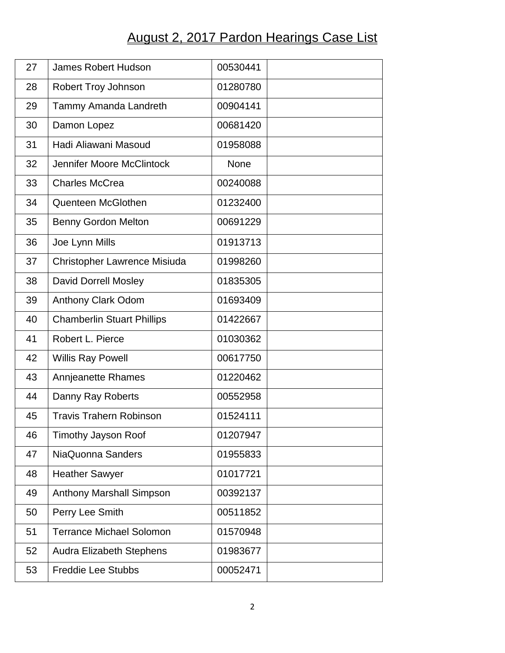## August 2, 2017 Pardon Hearings Case List

| 27 | <b>James Robert Hudson</b>        | 00530441    |
|----|-----------------------------------|-------------|
| 28 | Robert Troy Johnson               | 01280780    |
| 29 | Tammy Amanda Landreth             | 00904141    |
| 30 | Damon Lopez                       | 00681420    |
| 31 | Hadi Aliawani Masoud              | 01958088    |
| 32 | Jennifer Moore McClintock         | <b>None</b> |
| 33 | <b>Charles McCrea</b>             | 00240088    |
| 34 | Quenteen McGlothen                | 01232400    |
| 35 | <b>Benny Gordon Melton</b>        | 00691229    |
| 36 | Joe Lynn Mills                    | 01913713    |
| 37 | Christopher Lawrence Misiuda      | 01998260    |
| 38 | David Dorrell Mosley              | 01835305    |
| 39 | Anthony Clark Odom                | 01693409    |
| 40 | <b>Chamberlin Stuart Phillips</b> | 01422667    |
| 41 | Robert L. Pierce                  | 01030362    |
| 42 | <b>Willis Ray Powell</b>          | 00617750    |
| 43 | Annjeanette Rhames                | 01220462    |
| 44 | Danny Ray Roberts                 | 00552958    |
| 45 | <b>Travis Trahern Robinson</b>    | 01524111    |
| 46 | Timothy Jayson Roof               | 01207947    |
| 47 | NiaQuonna Sanders                 | 01955833    |
| 48 | <b>Heather Sawyer</b>             | 01017721    |
| 49 | Anthony Marshall Simpson          | 00392137    |
| 50 | Perry Lee Smith                   | 00511852    |
| 51 | <b>Terrance Michael Solomon</b>   | 01570948    |
| 52 | <b>Audra Elizabeth Stephens</b>   | 01983677    |
| 53 | <b>Freddie Lee Stubbs</b>         | 00052471    |